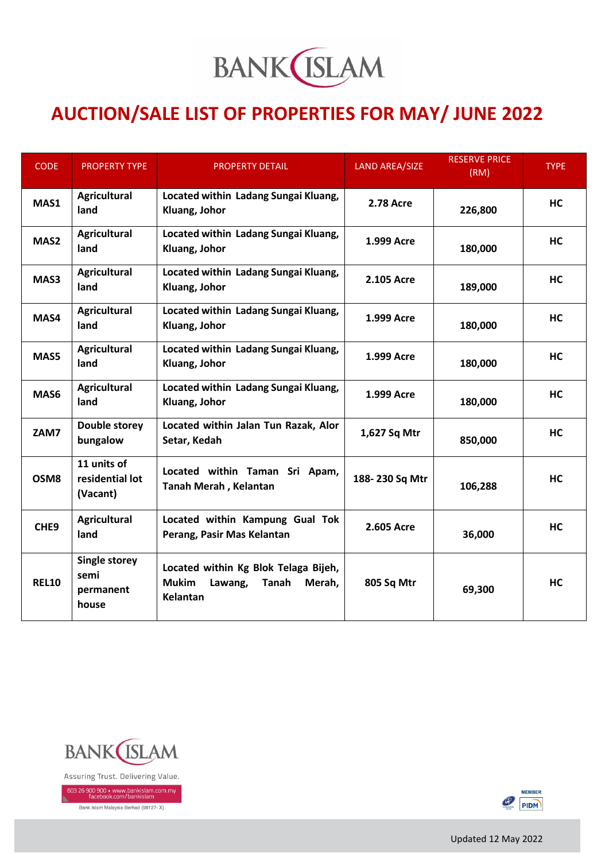

## **AUCTION/SALE LIST OF PROPERTIES FOR MAY/ JUNE 2022**

| <b>CODE</b>      | <b>PROPERTY TYPE</b>                               | <b>PROPERTY DETAIL</b>                                                                                | <b>LAND AREA/SIZE</b> | <b>RESERVE PRICE</b><br>(RM) | <b>TYPE</b> |
|------------------|----------------------------------------------------|-------------------------------------------------------------------------------------------------------|-----------------------|------------------------------|-------------|
| MAS1             | <b>Agricultural</b><br>land                        | Located within Ladang Sungai Kluang,<br>Kluang, Johor                                                 | <b>2.78 Acre</b>      | 226,800                      | <b>HC</b>   |
| MAS <sub>2</sub> | <b>Agricultural</b><br>land                        | Located within Ladang Sungai Kluang,<br>Kluang, Johor                                                 | 1.999 Acre            | 180,000                      | HC          |
| MAS3             | <b>Agricultural</b><br>land                        | Located within Ladang Sungai Kluang,<br>Kluang, Johor                                                 | 2.105 Acre            | 189,000                      | HC          |
| MAS4             | <b>Agricultural</b><br>land                        | Located within Ladang Sungai Kluang,<br>Kluang, Johor                                                 | 1.999 Acre            | 180,000                      | HC          |
| MAS5             | <b>Agricultural</b><br>land                        | Located within Ladang Sungai Kluang,<br>Kluang, Johor                                                 | 1.999 Acre            | 180,000                      | HC          |
| MAS6             | <b>Agricultural</b><br>land                        | Located within Ladang Sungai Kluang,<br>Kluang, Johor                                                 | 1.999 Acre            | 180,000                      | HC          |
| ZAM7             | Double storey<br>bungalow                          | Located within Jalan Tun Razak, Alor<br>Setar, Kedah                                                  | 1,627 Sq Mtr          | 850,000                      | HC          |
| OSM8             | 11 units of<br>residential lot<br>(Vacant)         | Located within Taman Sri Apam,<br>Tanah Merah, Kelantan                                               | 188-230 Sq Mtr        | 106,288                      | HC          |
| CHE9             | <b>Agricultural</b><br>land                        | Located within Kampung Gual Tok<br>Perang, Pasir Mas Kelantan                                         | 2.605 Acre            | 36,000                       | HC          |
| <b>REL10</b>     | <b>Single storey</b><br>semi<br>permanent<br>house | Located within Kg Blok Telaga Bijeh,<br><b>Mukim</b><br>Tanah<br>Merah,<br>Lawang,<br><b>Kelantan</b> | 805 Sq Mtr            | 69,300                       | HC          |



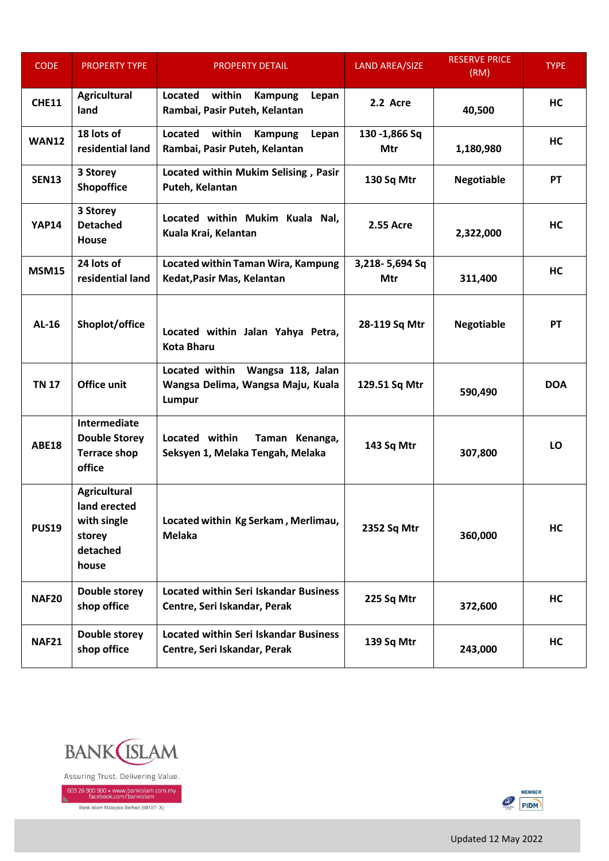| <b>CODE</b>  | <b>PROPERTY TYPE</b>                                                              | <b>PROPERTY DETAIL</b>                                                          | <b>LAND AREA/SIZE</b> | <b>RESERVE PRICE</b><br>(RM) | <b>TYPE</b> |
|--------------|-----------------------------------------------------------------------------------|---------------------------------------------------------------------------------|-----------------------|------------------------------|-------------|
| <b>CHE11</b> | <b>Agricultural</b><br>land                                                       | Located<br>within<br><b>Kampung</b><br>Lepan<br>Rambai, Pasir Puteh, Kelantan   | 2.2 Acre              | 40,500                       | HC          |
| <b>WAN12</b> | 18 lots of<br>residential land                                                    | Located within<br><b>Kampung</b><br>Lepan<br>Rambai, Pasir Puteh, Kelantan      | 130 -1,866 Sq<br>Mtr  | 1,180,980                    | HC          |
| <b>SEN13</b> | 3 Storey<br><b>Shopoffice</b>                                                     | Located within Mukim Selising, Pasir<br>Puteh, Kelantan                         | 130 Sq Mtr            | <b>Negotiable</b>            | <b>PT</b>   |
| <b>YAP14</b> | 3 Storey<br><b>Detached</b><br><b>House</b>                                       | Located within Mukim Kuala Nal,<br>Kuala Krai, Kelantan                         | <b>2.55 Acre</b>      | 2,322,000                    | HC          |
| <b>MSM15</b> | 24 lots of<br>residential land                                                    | Located within Taman Wira, Kampung<br>Kedat, Pasir Mas, Kelantan                | 3,218-5,694 Sq<br>Mtr | 311,400                      | HC          |
| AL-16        | Shoplot/office                                                                    | Located within Jalan Yahya Petra,<br><b>Kota Bharu</b>                          | 28-119 Sq Mtr         | <b>Negotiable</b>            | PT          |
| <b>TN 17</b> | Office unit                                                                       | Located within Wangsa 118, Jalan<br>Wangsa Delima, Wangsa Maju, Kuala<br>Lumpur | 129.51 Sq Mtr         | 590,490                      | <b>DOA</b>  |
| <b>ABE18</b> | Intermediate<br><b>Double Storey</b><br><b>Terrace shop</b><br>office             | Located within<br>Taman Kenanga,<br>Seksyen 1, Melaka Tengah, Melaka            | 143 Sq Mtr            | 307,800                      | LO          |
| <b>PUS19</b> | <b>Agricultural</b><br>land erected<br>with single<br>storey<br>detached<br>house | Located within Kg Serkam, Merlimau,<br><b>Melaka</b>                            | 2352 Sq Mtr           | 360,000                      | HC          |
| <b>NAF20</b> | Double storey<br>shop office                                                      | <b>Located within Seri Iskandar Business</b><br>Centre, Seri Iskandar, Perak    | 225 Sq Mtr            | 372,600                      | HC          |
| <b>NAF21</b> | Double storey<br>shop office                                                      | <b>Located within Seri Iskandar Business</b><br>Centre, Seri Iskandar, Perak    | 139 Sq Mtr            | 243,000                      | HC          |



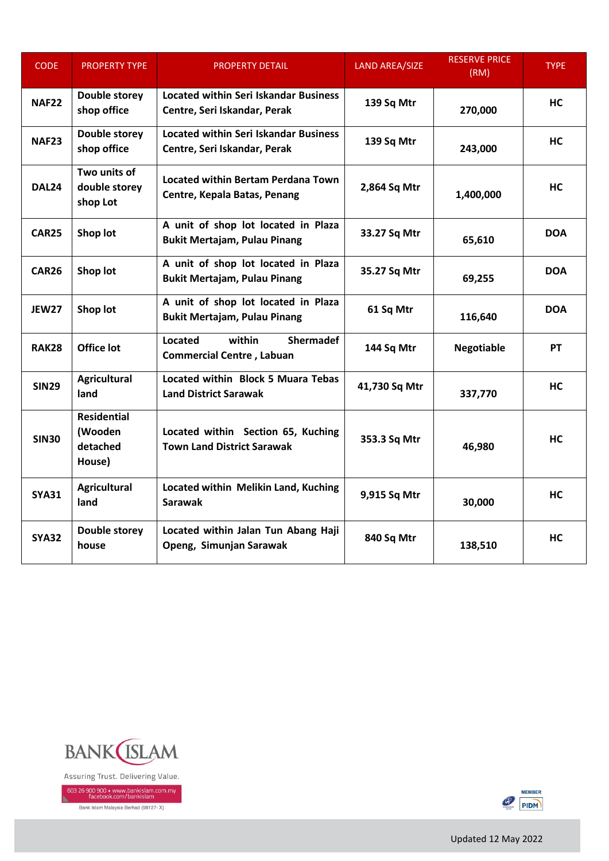| <b>CODE</b>  | <b>PROPERTY TYPE</b>                                | <b>PROPERTY DETAIL</b>                                                       | <b>LAND AREA/SIZE</b> | <b>RESERVE PRICE</b><br>(RM) | <b>TYPE</b> |
|--------------|-----------------------------------------------------|------------------------------------------------------------------------------|-----------------------|------------------------------|-------------|
| <b>NAF22</b> | Double storey<br>shop office                        | <b>Located within Seri Iskandar Business</b><br>Centre, Seri Iskandar, Perak | 139 Sq Mtr            | 270,000                      | HC          |
| <b>NAF23</b> | Double storey<br>shop office                        | <b>Located within Seri Iskandar Business</b><br>Centre, Seri Iskandar, Perak | 139 Sq Mtr            | 243,000                      | HС          |
| DAL24        | Two units of<br>double storey<br>shop Lot           | Located within Bertam Perdana Town<br>Centre, Kepala Batas, Penang           | 2,864 Sq Mtr          | 1,400,000                    | HС          |
| <b>CAR25</b> | Shop lot                                            | A unit of shop lot located in Plaza<br><b>Bukit Mertajam, Pulau Pinang</b>   | 33.27 Sq Mtr          | 65,610                       | <b>DOA</b>  |
| <b>CAR26</b> | Shop lot                                            | A unit of shop lot located in Plaza<br><b>Bukit Mertajam, Pulau Pinang</b>   | 35.27 Sq Mtr          | 69,255                       | <b>DOA</b>  |
| JEW27        | Shop lot                                            | A unit of shop lot located in Plaza<br><b>Bukit Mertajam, Pulau Pinang</b>   | 61 Sq Mtr             | 116,640                      | <b>DOA</b>  |
| <b>RAK28</b> | <b>Office lot</b>                                   | within<br><b>Shermadef</b><br>Located<br><b>Commercial Centre, Labuan</b>    | 144 Sq Mtr            | <b>Negotiable</b>            | <b>PT</b>   |
| <b>SIN29</b> | <b>Agricultural</b><br>land                         | Located within Block 5 Muara Tebas<br><b>Land District Sarawak</b>           | 41,730 Sq Mtr         | 337,770                      | HС          |
| <b>SIN30</b> | <b>Residential</b><br>(Wooden<br>detached<br>House) | Located within Section 65, Kuching<br><b>Town Land District Sarawak</b>      | 353.3 Sq Mtr          | 46,980                       | HC          |
| <b>SYA31</b> | <b>Agricultural</b><br>land                         | Located within Melikin Land, Kuching<br><b>Sarawak</b>                       | 9,915 Sq Mtr          | 30,000                       | <b>HC</b>   |
| <b>SYA32</b> | <b>Double storey</b><br>house                       | Located within Jalan Tun Abang Haji<br>Openg, Simunjan Sarawak               | 840 Sq Mtr            | 138,510                      | HС          |



Assuring Trust. Delivering Value.

603 26 900 900 • www.bankislam.com.my<br>facebook.com/bankislam<br>Bank Islam Malaysia Berhad (98127- X)

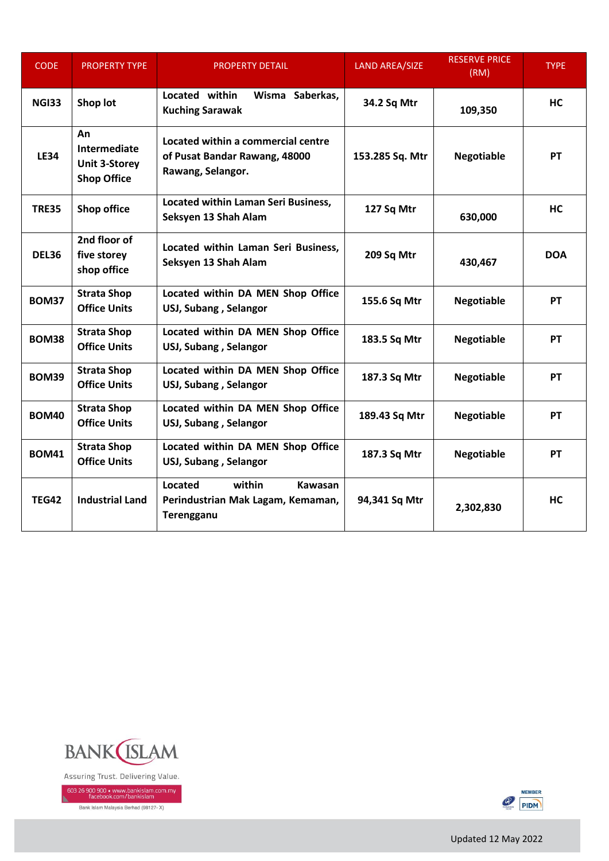| <b>CODE</b>  | <b>PROPERTY TYPE</b>                                                    | <b>PROPERTY DETAIL</b>                                                                   | <b>LAND AREA/SIZE</b> | <b>RESERVE PRICE</b><br>(RM) | <b>TYPE</b> |
|--------------|-------------------------------------------------------------------------|------------------------------------------------------------------------------------------|-----------------------|------------------------------|-------------|
| <b>NGI33</b> | Shop lot                                                                | Located within<br>Wisma Saberkas,<br><b>Kuching Sarawak</b>                              | 34.2 Sq Mtr           | 109,350                      | <b>HC</b>   |
| <b>LE34</b>  | An<br><b>Intermediate</b><br><b>Unit 3-Storey</b><br><b>Shop Office</b> | Located within a commercial centre<br>of Pusat Bandar Rawang, 48000<br>Rawang, Selangor. | 153.285 Sq. Mtr       | <b>Negotiable</b>            | <b>PT</b>   |
| <b>TRE35</b> | Shop office                                                             | <b>Located within Laman Seri Business,</b><br>Seksyen 13 Shah Alam                       | 127 Sq Mtr            | 630,000                      | HC.         |
| <b>DEL36</b> | 2nd floor of<br>five storey<br>shop office                              | Located within Laman Seri Business,<br>Seksyen 13 Shah Alam                              | 209 Sq Mtr            | 430,467                      | <b>DOA</b>  |
| <b>BOM37</b> | <b>Strata Shop</b><br><b>Office Units</b>                               | Located within DA MEN Shop Office<br>USJ, Subang, Selangor                               | 155.6 Sq Mtr          | <b>Negotiable</b>            | <b>PT</b>   |
| <b>BOM38</b> | <b>Strata Shop</b><br><b>Office Units</b>                               | Located within DA MEN Shop Office<br>USJ, Subang, Selangor                               | 183.5 Sq Mtr          | <b>Negotiable</b>            | <b>PT</b>   |
| <b>BOM39</b> | <b>Strata Shop</b><br><b>Office Units</b>                               | Located within DA MEN Shop Office<br>USJ, Subang, Selangor                               | 187.3 Sq Mtr          | <b>Negotiable</b>            | <b>PT</b>   |
| <b>BOM40</b> | <b>Strata Shop</b><br><b>Office Units</b>                               | Located within DA MEN Shop Office<br>USJ, Subang, Selangor                               | 189.43 Sq Mtr         | <b>Negotiable</b>            | PT          |
| <b>BOM41</b> | <b>Strata Shop</b><br><b>Office Units</b>                               | Located within DA MEN Shop Office<br><b>USJ, Subang, Selangor</b>                        | 187.3 Sq Mtr          | <b>Negotiable</b>            | PT          |
| <b>TEG42</b> | <b>Industrial Land</b>                                                  | within<br>Located<br>Kawasan<br>Perindustrian Mak Lagam, Kemaman,<br>Terengganu          | 94,341 Sq Mtr         | 2,302,830                    | <b>HC</b>   |



603 26 900 900 • www.bankislam.com.my<br>facebook.com/bankislam<br>Bank Islam Malaysia Berhad (98127- X)